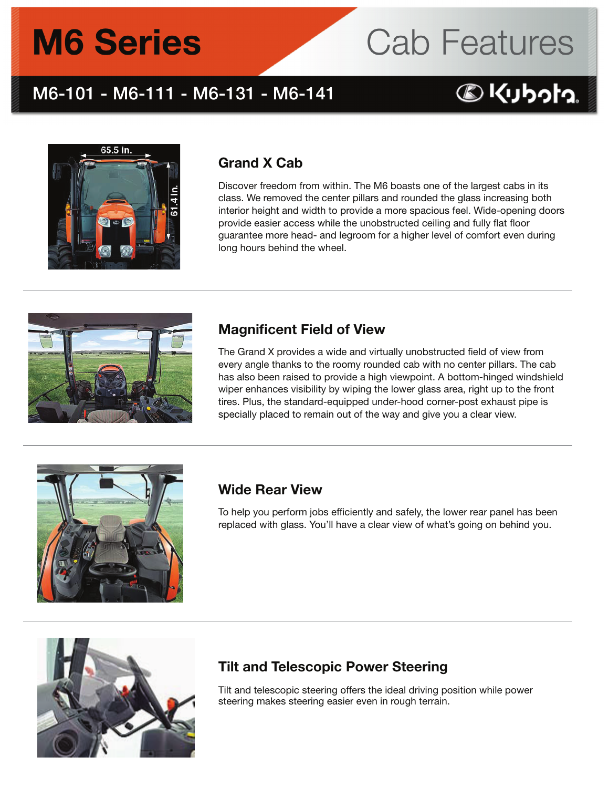# **M6 Series**



### M6-101 - M6-111 - M6-131 - M6-141

## **BKUbota**



#### Grand X Cab

Discover freedom from within. The M6 boasts one of the largest cabs in its class. We removed the center pillars and rounded the glass increasing both interior height and width to provide a more spacious feel. Wide-opening doors provide easier access while the unobstructed ceiling and fully flat floor guarantee more head- and legroom for a higher level of comfort even during long hours behind the wheel.



#### Magnificent Field of View

The Grand X provides a wide and virtually unobstructed field of view from every angle thanks to the roomy rounded cab with no center pillars. The cab has also been raised to provide a high viewpoint. A bottom-hinged windshield wiper enhances visibility by wiping the lower glass area, right up to the front tires. Plus, the standard-equipped under-hood corner-post exhaust pipe is specially placed to remain out of the way and give you a clear view.



#### Wide Rear View

To help you perform jobs efficiently and safely, the lower rear panel has been replaced with glass. You'll have a clear view of what's going on behind you.



#### Tilt and Telescopic Power Steering

Tilt and telescopic steering offers the ideal driving position while power steering makes steering easier even in rough terrain.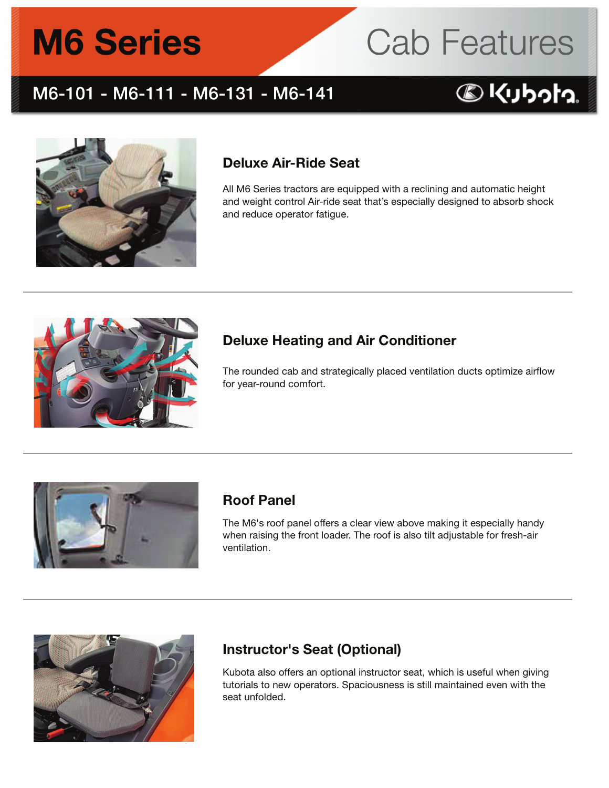# **M6 Series**



### M6-101 - M6-111 - M6-131 - M6-141

## **BKUbota**



#### Deluxe Air-Ride Seat

All M6 Series tractors are equipped with a reclining and automatic height and weight control Air-ride seat that's especially designed to absorb shock and reduce operator fatigue.



#### Deluxe Heating and Air Conditioner

The rounded cab and strategically placed ventilation ducts optimize airflow for year-round comfort.



#### Roof Panel

The M6's roof panel offers a clear view above making it especially handy when raising the front loader. The roof is also tilt adjustable for fresh-air ventilation.



#### Instructor's Seat (Optional)

Kubota also offers an optional instructor seat, which is useful when giving tutorials to new operators. Spaciousness is still maintained even with the seat unfolded.